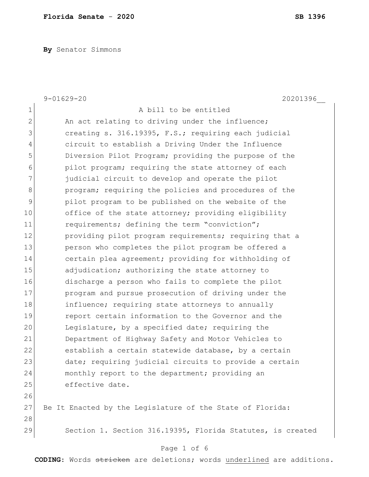**By** Senator Simmons

|                | $9 - 01629 - 20$<br>20201396                               |
|----------------|------------------------------------------------------------|
| $\mathbf 1$    | A bill to be entitled                                      |
| $\mathbf{2}$   | An act relating to driving under the influence;            |
| $\mathcal{S}$  | creating s. 316.19395, F.S.; requiring each judicial       |
| $\overline{4}$ | circuit to establish a Driving Under the Influence         |
| 5              | Diversion Pilot Program; providing the purpose of the      |
| 6              | pilot program; requiring the state attorney of each        |
| 7              | judicial circuit to develop and operate the pilot          |
| $\,8\,$        | program; requiring the policies and procedures of the      |
| 9              | pilot program to be published on the website of the        |
| 10             | office of the state attorney; providing eligibility        |
| 11             | requirements; defining the term "conviction";              |
| 12             | providing pilot program requirements; requiring that a     |
| 13             | person who completes the pilot program be offered a        |
| 14             | certain plea agreement; providing for withholding of       |
| 15             | adjudication; authorizing the state attorney to            |
| 16             | discharge a person who fails to complete the pilot         |
| 17             | program and pursue prosecution of driving under the        |
| 18             | influence; requiring state attorneys to annually           |
| 19             | report certain information to the Governor and the         |
| 20             | Legislature, by a specified date; requiring the            |
| 21             | Department of Highway Safety and Motor Vehicles to         |
| 22             | establish a certain statewide database, by a certain       |
| 23             | date; requiring judicial circuits to provide a certain     |
| 24             | monthly report to the department; providing an             |
| 25             | effective date.                                            |
| 26             |                                                            |
| 27             | Be It Enacted by the Legislature of the State of Florida:  |
| 28             |                                                            |
| 29             | Section 1. Section 316.19395, Florida Statutes, is created |
|                |                                                            |

# Page 1 of 6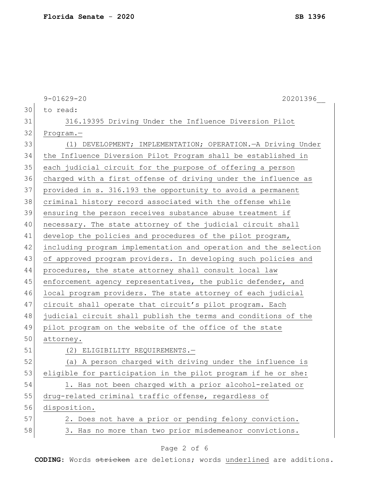|    | $9 - 01629 - 20$<br>20201396                                     |
|----|------------------------------------------------------------------|
| 30 | to read:                                                         |
| 31 | 316.19395 Driving Under the Influence Diversion Pilot            |
| 32 | $Program. -$                                                     |
| 33 | (1) DEVELOPMENT; IMPLEMENTATION; OPERATION. - A Driving Under    |
| 34 | the Influence Diversion Pilot Program shall be established in    |
| 35 | each judicial circuit for the purpose of offering a person       |
| 36 | charged with a first offense of driving under the influence as   |
| 37 | provided in s. 316.193 the opportunity to avoid a permanent      |
| 38 | criminal history record associated with the offense while        |
| 39 | ensuring the person receives substance abuse treatment if        |
| 40 | necessary. The state attorney of the judicial circuit shall      |
| 41 | develop the policies and procedures of the pilot program,        |
| 42 | including program implementation and operation and the selection |
| 43 | of approved program providers. In developing such policies and   |
| 44 | procedures, the state attorney shall consult local law           |
| 45 | enforcement agency representatives, the public defender, and     |
| 46 | local program providers. The state attorney of each judicial     |
| 47 | circuit shall operate that circuit's pilot program. Each         |
| 48 | judicial circuit shall publish the terms and conditions of the   |
| 49 | pilot program on the website of the office of the state          |
| 50 | attorney.                                                        |
| 51 | (2) ELIGIBILITY REQUIREMENTS.-                                   |
| 52 | (a) A person charged with driving under the influence is         |
| 53 | eligible for participation in the pilot program if he or she:    |
| 54 | 1. Has not been charged with a prior alcohol-related or          |
| 55 | drug-related criminal traffic offense, regardless of             |
| 56 | disposition.                                                     |
| 57 | 2. Does not have a prior or pending felony conviction.           |
| 58 | 3. Has no more than two prior misdemeanor convictions.           |
|    |                                                                  |

# Page 2 of 6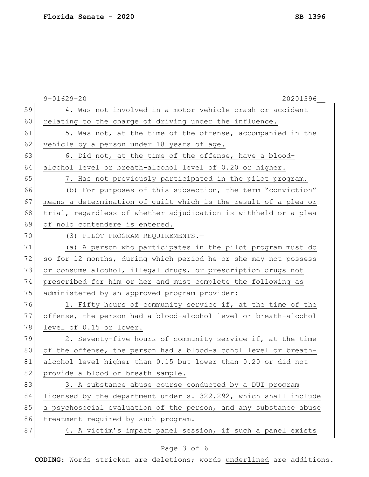|    | $9 - 01629 - 20$<br>20201396                                     |
|----|------------------------------------------------------------------|
| 59 | 4. Was not involved in a motor vehicle crash or accident         |
| 60 | relating to the charge of driving under the influence.           |
| 61 | 5. Was not, at the time of the offense, accompanied in the       |
| 62 | vehicle by a person under 18 years of age.                       |
| 63 | 6. Did not, at the time of the offense, have a blood-            |
| 64 | alcohol level or breath-alcohol level of 0.20 or higher.         |
| 65 | 7. Has not previously participated in the pilot program.         |
| 66 | (b) For purposes of this subsection, the term "conviction"       |
| 67 | means a determination of guilt which is the result of a plea or  |
| 68 | trial, regardless of whether adjudication is withheld or a plea  |
| 69 | of nolo contendere is entered.                                   |
| 70 | (3) PILOT PROGRAM REQUIREMENTS.-                                 |
| 71 | (a) A person who participates in the pilot program must do       |
| 72 | so for 12 months, during which period he or she may not possess  |
| 73 | or consume alcohol, illegal drugs, or prescription drugs not     |
| 74 | prescribed for him or her and must complete the following as     |
| 75 | administered by an approved program provider:                    |
| 76 | 1. Fifty hours of community service if, at the time of the       |
| 77 | offense, the person had a blood-alcohol level or breath-alcohol  |
| 78 | level of 0.15 or lower.                                          |
| 79 | 2. Seventy-five hours of community service if, at the time       |
| 80 | of the offense, the person had a blood-alcohol level or breath-  |
| 81 | alcohol level higher than 0.15 but lower than 0.20 or did not    |
| 82 | provide a blood or breath sample.                                |
| 83 | 3. A substance abuse course conducted by a DUI program           |
| 84 | licensed by the department under s. 322.292, which shall include |
| 85 | a psychosocial evaluation of the person, and any substance abuse |
| 86 | treatment required by such program.                              |
| 87 | 4. A victim's impact panel session, if such a panel exists       |
|    |                                                                  |

# Page 3 of 6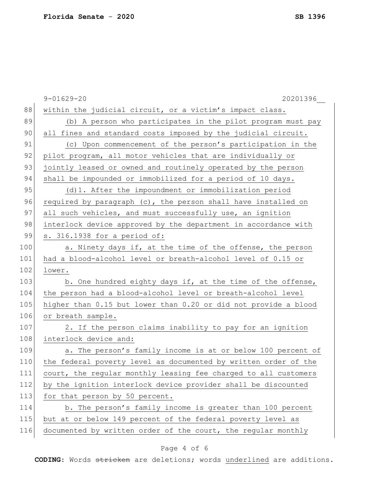|     | $9 - 01629 - 20$<br>20201396                                    |
|-----|-----------------------------------------------------------------|
| 88  | within the judicial circuit, or a victim's impact class.        |
| 89  | (b) A person who participates in the pilot program must pay     |
| 90  | all fines and standard costs imposed by the judicial circuit.   |
| 91  | (c) Upon commencement of the person's participation in the      |
| 92  | pilot program, all motor vehicles that are individually or      |
| 93  | jointly leased or owned and routinely operated by the person    |
| 94  | shall be impounded or immobilized for a period of 10 days.      |
| 95  | (d) 1. After the impoundment or immobilization period           |
| 96  | required by paragraph (c), the person shall have installed on   |
| 97  | all such vehicles, and must successfully use, an ignition       |
| 98  | interlock device approved by the department in accordance with  |
| 99  | s. 316.1938 for a period of:                                    |
| 100 | a. Ninety days if, at the time of the offense, the person       |
| 101 | had a blood-alcohol level or breath-alcohol level of 0.15 or    |
| 102 | lower.                                                          |
| 103 | b. One hundred eighty days if, at the time of the offense,      |
| 104 | the person had a blood-alcohol level or breath-alcohol level    |
| 105 | higher than 0.15 but lower than 0.20 or did not provide a blood |
| 106 | or breath sample.                                               |
| 107 | 2. If the person claims inability to pay for an ignition        |
| 108 | interlock device and:                                           |
| 109 | a. The person's family income is at or below 100 percent of     |
| 110 | the federal poverty level as documented by written order of the |
| 111 | court, the regular monthly leasing fee charged to all customers |
| 112 | by the ignition interlock device provider shall be discounted   |
| 113 | for that person by 50 percent.                                  |
| 114 | b. The person's family income is greater than 100 percent       |
| 115 | but at or below 149 percent of the federal poverty level as     |
| 116 | documented by written order of the court, the regular monthly   |

# Page 4 of 6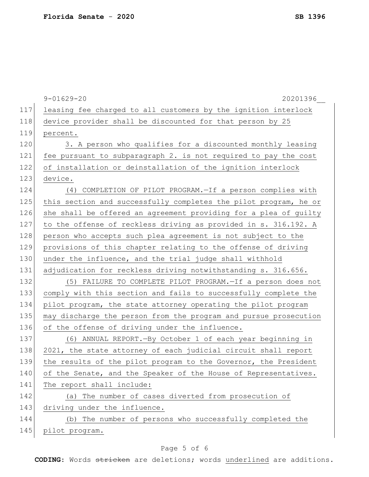|     | $9 - 01629 - 20$<br>20201396                                     |
|-----|------------------------------------------------------------------|
| 117 | leasing fee charged to all customers by the ignition interlock   |
| 118 | device provider shall be discounted for that person by 25        |
| 119 | percent.                                                         |
| 120 | 3. A person who qualifies for a discounted monthly leasing       |
| 121 | fee pursuant to subparagraph 2. is not required to pay the cost  |
| 122 | of installation or deinstallation of the ignition interlock      |
| 123 | device.                                                          |
| 124 | (4) COMPLETION OF PILOT PROGRAM. - If a person complies with     |
| 125 | this section and successfully completes the pilot program, he or |
| 126 | she shall be offered an agreement providing for a plea of guilty |
| 127 | to the offense of reckless driving as provided in s. 316.192. A  |
| 128 | person who accepts such plea agreement is not subject to the     |
| 129 | provisions of this chapter relating to the offense of driving    |
| 130 | under the influence, and the trial judge shall withhold          |
| 131 | adjudication for reckless driving notwithstanding s. 316.656.    |
| 132 | (5) FAILURE TO COMPLETE PILOT PROGRAM. - If a person does not    |
| 133 | comply with this section and fails to successfully complete the  |
| 134 | pilot program, the state attorney operating the pilot program    |
| 135 | may discharge the person from the program and pursue prosecution |
| 136 | of the offense of driving under the influence.                   |
| 137 | (6) ANNUAL REPORT. - By October 1 of each year beginning in      |
| 138 | 2021, the state attorney of each judicial circuit shall report   |
| 139 | the results of the pilot program to the Governor, the President  |
| 140 | of the Senate, and the Speaker of the House of Representatives.  |
| 141 | The report shall include:                                        |
| 142 | (a) The number of cases diverted from prosecution of             |
| 143 | driving under the influence.                                     |
| 144 | (b) The number of persons who successfully completed the         |
| 145 | pilot program.                                                   |

# Page 5 of 6